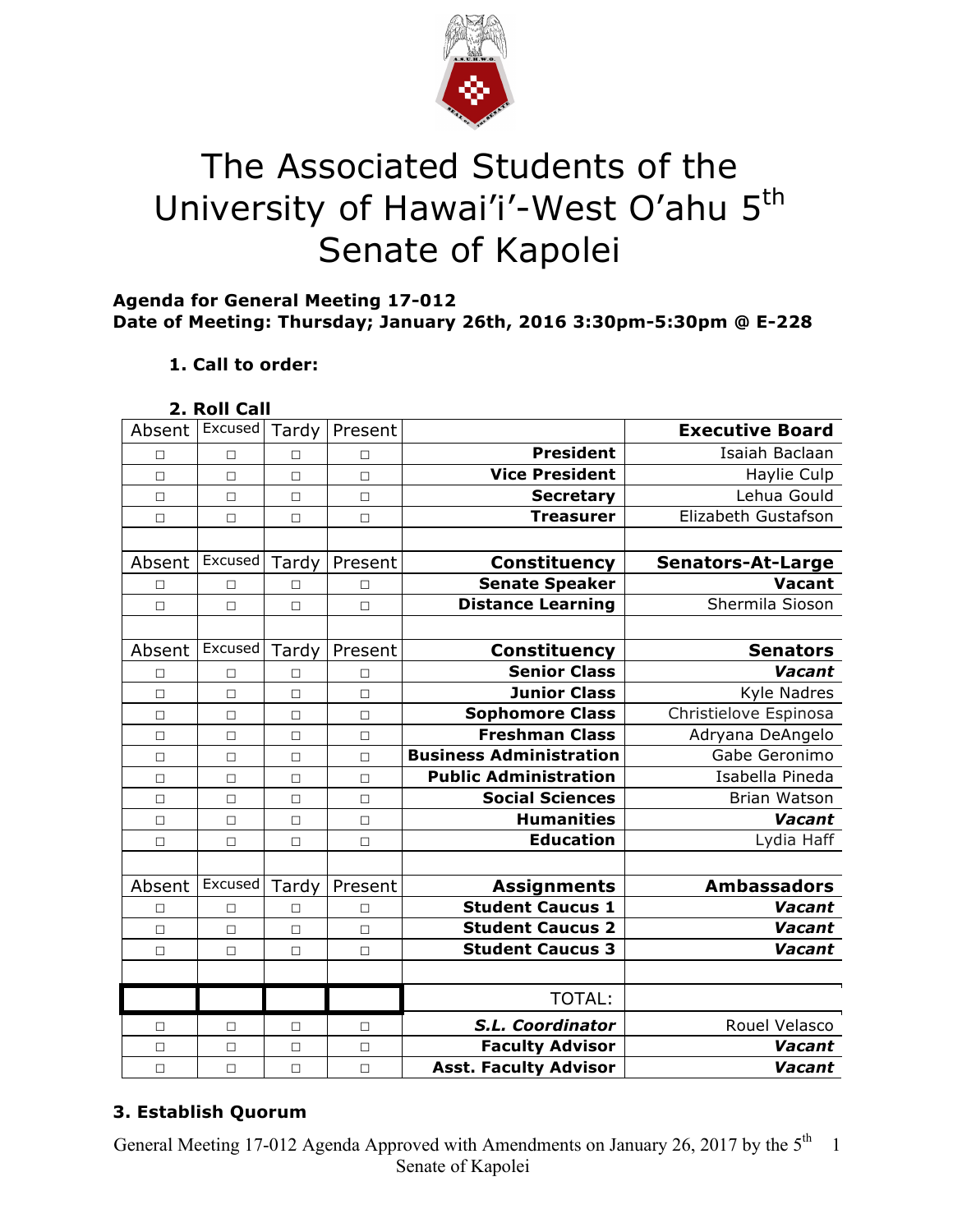

# The Associated Students of the University of Hawai'i'-West O'ahu 5<sup>th</sup> Senate of Kapolei

## **Agenda for General Meeting 17-012 Date of Meeting: Thursday; January 26th, 2016 3:30pm-5:30pm @ E-228**

# **1. Call to order:**

## **2. Roll Call**

| Absent | Excused | Tardy  | Present |                                | <b>Executive Board</b>   |
|--------|---------|--------|---------|--------------------------------|--------------------------|
| П      | $\Box$  | П      | П       | <b>President</b>               | Isaiah Baclaan           |
| $\Box$ | $\Box$  | $\Box$ | $\Box$  | <b>Vice President</b>          | Haylie Culp              |
| $\Box$ | $\Box$  | $\Box$ | П       | <b>Secretary</b>               | Lehua Gould              |
| П      | $\Box$  | $\Box$ | $\Box$  | <b>Treasurer</b>               | Elizabeth Gustafson      |
|        |         |        |         |                                |                          |
| Absent | Excused | Tardy  | Present | <b>Constituency</b>            | <b>Senators-At-Large</b> |
| □      | $\Box$  | П      | П       | <b>Senate Speaker</b>          | <b>Vacant</b>            |
| П      | $\Box$  | $\Box$ | $\Box$  | <b>Distance Learning</b>       | Shermila Sioson          |
|        |         |        |         |                                |                          |
| Absent | Excused | Tardy  | Present | Constituency                   | <b>Senators</b>          |
| □      | $\Box$  | □      | $\Box$  | <b>Senior Class</b>            | Vacant                   |
| $\Box$ | $\Box$  | $\Box$ | $\Box$  | <b>Junior Class</b>            | Kyle Nadres              |
| $\Box$ | $\Box$  | $\Box$ | $\Box$  | <b>Sophomore Class</b>         | Christielove Espinosa    |
| $\Box$ | $\Box$  | $\Box$ | $\Box$  | <b>Freshman Class</b>          | Adryana DeAngelo         |
| $\Box$ | $\Box$  | $\Box$ | $\Box$  | <b>Business Administration</b> | Gabe Geronimo            |
| $\Box$ | $\Box$  | $\Box$ | П       | <b>Public Administration</b>   | Isabella Pineda          |
| $\Box$ | $\Box$  | $\Box$ | $\Box$  | <b>Social Sciences</b>         | Brian Watson             |
| □      | $\Box$  | $\Box$ | $\Box$  | <b>Humanities</b>              | Vacant                   |
| □      | $\Box$  | $\Box$ | $\Box$  | <b>Education</b>               | Lydia Haff               |
|        |         |        |         |                                |                          |
| Absent | Excused | Tardy  | Present | <b>Assignments</b>             | <b>Ambassadors</b>       |
| □      | $\Box$  | $\Box$ | $\Box$  | <b>Student Caucus 1</b>        | Vacant                   |
| $\Box$ | $\Box$  | $\Box$ | $\Box$  | <b>Student Caucus 2</b>        | Vacant                   |
| $\Box$ | $\Box$  | $\Box$ | $\Box$  | <b>Student Caucus 3</b>        | Vacant                   |
|        |         |        |         |                                |                          |
|        |         |        |         | <b>TOTAL:</b>                  |                          |
| п      | □       | $\Box$ | П       | S.L. Coordinator               | Rouel Velasco            |
| $\Box$ | $\Box$  | $\Box$ | $\Box$  | <b>Faculty Advisor</b>         | Vacant                   |
| $\Box$ | $\Box$  | $\Box$ | $\Box$  | <b>Asst. Faculty Advisor</b>   | Vacant                   |

# **3. Establish Quorum**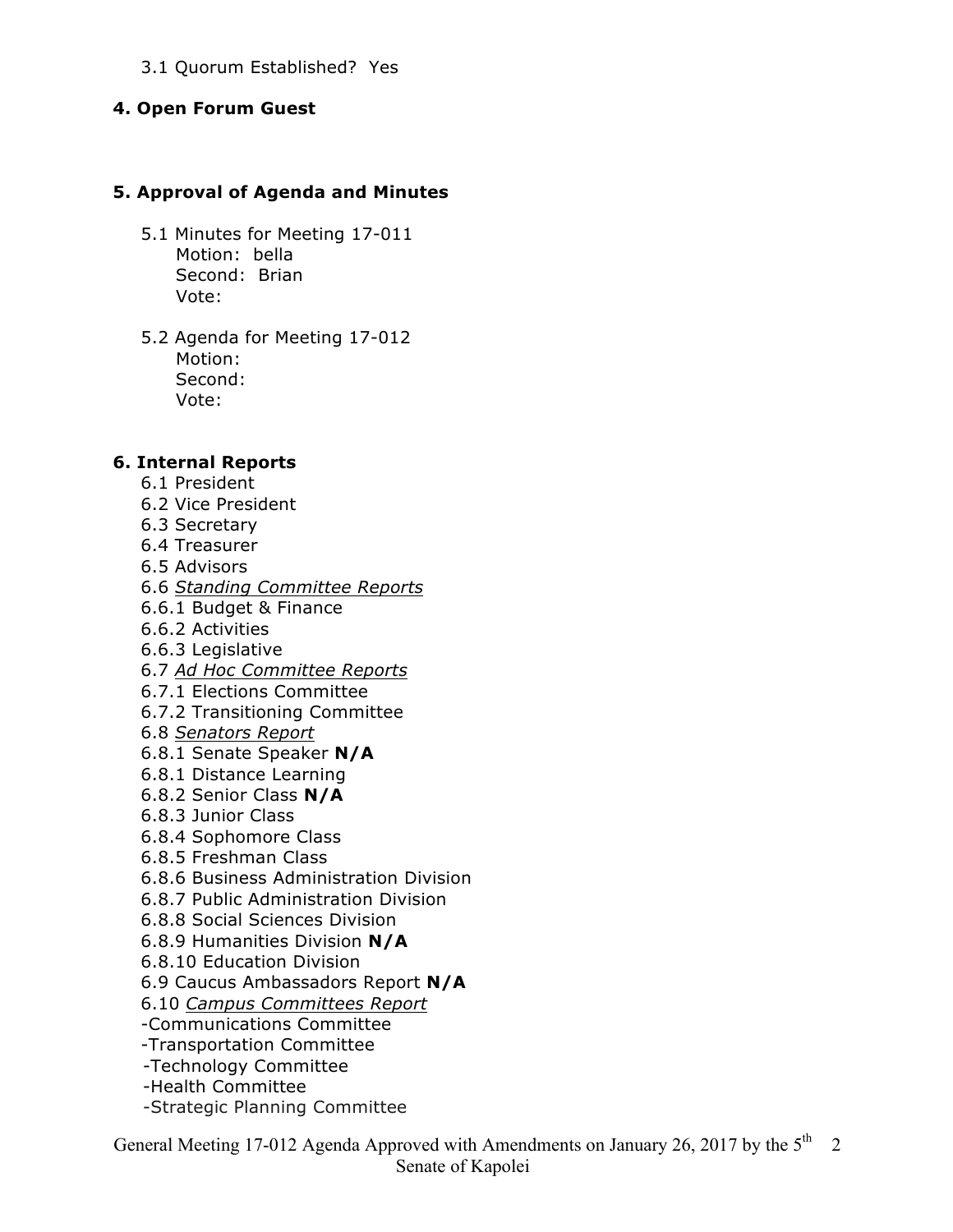#### 3.1 Quorum Established? Yes

#### **4. Open Forum Guest**

#### **5. Approval of Agenda and Minutes**

- 5.1 Minutes for Meeting 17-011 Motion: bella Second: Brian Vote:
- 5.2 Agenda for Meeting 17-012 Motion: Second: Vote:

#### **6. Internal Reports**

- 6.1 President
- 6.2 Vice President
- 6.3 Secretary
- 6.4 Treasurer
- 6.5 Advisors
- 6.6 *Standing Committee Reports*
- 6.6.1 Budget & Finance
- 6.6.2 Activities
- 6.6.3 Legislative
- 6.7 *Ad Hoc Committee Reports*
- 6.7.1 Elections Committee
- 6.7.2 Transitioning Committee
- 6.8 *Senators Report*
- 6.8.1 Senate Speaker **N/A**
- 6.8.1 Distance Learning
- 6.8.2 Senior Class **N/A**
- 6.8.3 Junior Class
- 6.8.4 Sophomore Class
- 6.8.5 Freshman Class
- 6.8.6 Business Administration Division
- 6.8.7 Public Administration Division
- 6.8.8 Social Sciences Division
- 6.8.9 Humanities Division **N/A**
- 6.8.10 Education Division
- 6.9 Caucus Ambassadors Report **N/A**
- 6.10 *Campus Committees Report*
- -Communications Committee
- -Transportation Committee
- -Technology Committee
- -Health Committee
- -Strategic Planning Committee